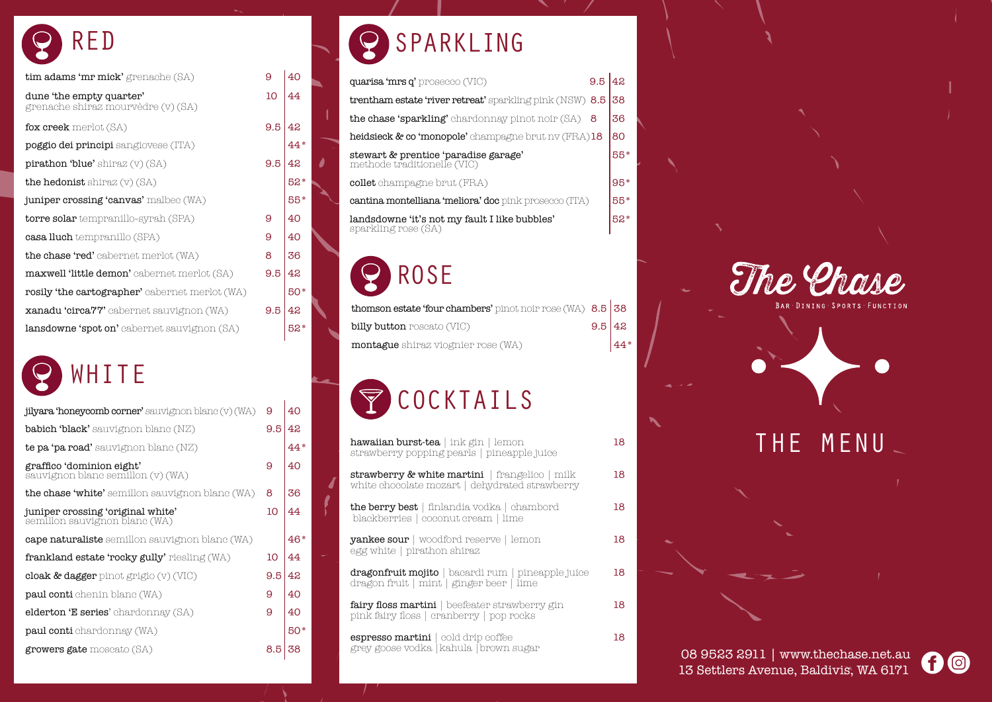



### SPARKLING Q

# ROSE

# RED

| <b>jilyara 'honeycomb corner'</b> sauvignon blanc (v) (WA)         | 9   | 40  |
|--------------------------------------------------------------------|-----|-----|
| <b>babich 'black'</b> sauvignon blanc $(NZ)$                       | 9.5 | 42  |
| <b>te pa 'pa road'</b> sauvignon blanc $(NZ)$                      |     | 44* |
| graffico 'dominion eight'<br>sauvignon blanc semillon (v) (WA)     | 9   | 40  |
| <b>the chase 'white'</b> semillon sauvignon blanc (WA)             | 8   | 36  |
| juniper crossing 'original white'<br>semillon sauvignon blanc (WA) | 10  | 44  |
| <b>cape naturaliste</b> semillon sauvignon blanc (WA)              |     | 46* |
| <b>frankland estate 'rocky gully'</b> riesling (WA)                | 10  | 44  |
| cloak & dagger pinot grigio $(v)$ (VIC)                            | 9.5 | 42  |
| <b>paul conti</b> chenin blanc (WA)                                | 9   | 40  |
| <b>elderton 'E series</b> ' chardonnay (SA)                        | 9   | 40  |
| <b>paul conti</b> chardonnay (WA)                                  |     | 50* |
| <b>growers gate</b> moscato (SA)                                   | 8.5 | 38  |
|                                                                    |     |     |

| quarisa 'mrs q' prosecco (VIC)                                       |       |
|----------------------------------------------------------------------|-------|
| <b>trentham estate 'river retreat'</b> sparkling pink (NSW) 8.5      | 38    |
| <b>the chase 'sparkling'</b> chardonnay pinot noir (SA)              | 36    |
| heidsieck & co 'monopole' champagne brut nv (FRA)18                  | 80    |
| stewart & prentice 'paradise garage'<br>methode traditionelle (VIC)  | 55*   |
| <b>collet</b> champagne brut (FRA)                                   | 95*   |
| <b>cantina montelliana 'meliora' doc</b> pink prosecco (ITA)         | 55*   |
| landsdowne 'it's not my fault I like bubbles'<br>sparkling rose (SA) | $52*$ |
|                                                                      |       |

| <b>thomson estate 'four chambers'</b> pinot noir rose (WA) $8.5 \, \, 38$ |        |        |
|---------------------------------------------------------------------------|--------|--------|
| <b>billy button</b> roscato (VIC)                                         | 9.5 42 |        |
| <b>montague</b> shiraz viognier rose (WA)                                 |        | $ 44*$ |

# $\bigtriangledown$ COCKTAILS

| tim adams 'mr mick' grenache (SA)                              | 9   | 40    |
|----------------------------------------------------------------|-----|-------|
| dune 'the empty quarter'<br>grenache shiraz mourvèdre (v) (SA) | 10  | 44    |
| fox creek merlot (SA)                                          | 9.5 | 42    |
| <b>poggio dei principi</b> sangiovese (ITA)                    |     | 44*   |
| $\text{pirathon 'blue' shiraz (v) (SA)}$                       | 9.5 | 42    |
| <b>the hedonist</b> shiraz $(v)$ (SA)                          |     | 52*   |
| juniper crossing 'canvas' malbec (WA)                          |     | 55*   |
| <b>torre solar</b> tempranillo-syrah (SPA)                     | 9   | 40    |
| <b>casa lluch</b> tempranillo (SPA)                            | 9   | 40    |
| <b>the chase 'red'</b> cabernet merlot (WA)                    | 8   | 36    |
| <b>maxwell 'little demon'</b> cabernet merlot (SA)             | 9.5 | 42    |
| <b>rosily 'the cartographer'</b> cabernet merlot (WA)          |     | 50*   |
| <b>xanadu 'circa?'?'</b> cabernet sauvignon (WA)               | 9.5 | 42    |
| <b>lansdowne 'spot on'</b> cabernet sauvignon (SA)             |     | $52*$ |
|                                                                |     |       |

# WHITE

| <b>hawaiian burst-tea  </b> ink gin   lemon<br>strawberry popping pearls   pineapple juice            | 18 |
|-------------------------------------------------------------------------------------------------------|----|
| strawberry & white martini   frangelico   milk<br>white chocolate mozart   dehydrated strawberry      | 18 |
| the berry best   finlandia vodka   chambord<br>blackberries   coconut cream   lime                    | 18 |
| $\verb yankee sour $ woodford reserve $\mid$ lemon<br>egg white   pirathon shiraz                     | 18 |
| <b>dragonfruit mojito</b>   bacardi rum   pineapple juice<br>dragon fruit   mint   ginger beer   lime | 18 |
| <b>fairy floss martini</b>   beefeater strawberry gin<br>pink fairy floss   cranberry   pop rocks     | 18 |
| espresso martini   cold drip coffee<br>grey goose vodka  kahula  brown sugar                          | 18 |